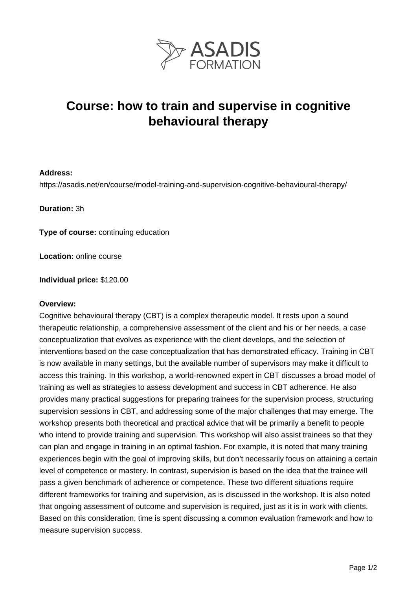

# **Course: how to train and supervise in cognitive behavioural therapy**

### **Address:**

https://asadis.net/en/course/model-training-and-supervision-cognitive-behavioural-therapy/

**Duration:** 3h

**Type of course:** continuing education

**Location:** online course

**Individual price:** \$120.00

#### **Overview:**

Cognitive behavioural therapy (CBT) is a complex therapeutic model. It rests upon a sound therapeutic relationship, a comprehensive assessment of the client and his or her needs, a case conceptualization that evolves as experience with the client develops, and the selection of interventions based on the case conceptualization that has demonstrated efficacy. Training in CBT is now available in many settings, but the available number of supervisors may make it difficult to access this training. In this workshop, a world-renowned expert in CBT discusses a broad model of training as well as strategies to assess development and success in CBT adherence. He also provides many practical suggestions for preparing trainees for the supervision process, structuring supervision sessions in CBT, and addressing some of the major challenges that may emerge. The workshop presents both theoretical and practical advice that will be primarily a benefit to people who intend to provide training and supervision. This workshop will also assist trainees so that they can plan and engage in training in an optimal fashion. For example, it is noted that many training experiences begin with the goal of improving skills, but don't necessarily focus on attaining a certain level of competence or mastery. In contrast, supervision is based on the idea that the trainee will pass a given benchmark of adherence or competence. These two different situations require different frameworks for training and supervision, as is discussed in the workshop. It is also noted that ongoing assessment of outcome and supervision is required, just as it is in work with clients. Based on this consideration, time is spent discussing a common evaluation framework and how to measure supervision success.